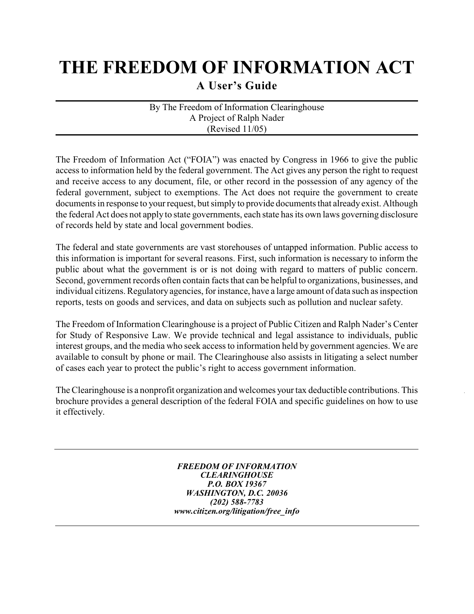# **THE FREEDOM OF INFORMATION ACT**

**A User's Guide**

By The Freedom of Information Clearinghouse A Project of Ralph Nader (Revised 11/05)

The Freedom of Information Act ("FOIA") was enacted by Congress in 1966 to give the public access to information held by the federal government. The Act gives any person the right to request and receive access to any document, file, or other record in the possession of any agency of the federal government, subject to exemptions. The Act does not require the government to create documents in response to your request, but simply to provide documents that already exist. Although the federal Act does not apply to state governments, each state has its own laws governing disclosure of records held by state and local government bodies.

The federal and state governments are vast storehouses of untapped information. Public access to this information is important for several reasons. First, such information is necessary to inform the public about what the government is or is not doing with regard to matters of public concern. Second, government records often contain facts that can be helpful to organizations, businesses, and individual citizens. Regulatory agencies, for instance, have a large amount of data such as inspection reports, tests on goods and services, and data on subjects such as pollution and nuclear safety.

The Freedom of Information Clearinghouse is a project of Public Citizen and Ralph Nader's Center for Study of Responsive Law. We provide technical and legal assistance to individuals, public interest groups, and the media who seek access to information held by government agencies. We are available to consult by phone or mail. The Clearinghouse also assists in litigating a select number of cases each year to protect the public's right to access government information.

The Clearinghouse is a nonprofit organization and welcomes your tax deductible contributions. This brochure provides a general description of the federal FOIA and specific guidelines on how to use it effectively.

> *FREEDOM OF INFORMATION CLEARINGHOUSE P.O. BOX 19367 WASHINGTON, D.C. 20036 (202) 588-7783 www.citizen.org/litigation/free\_info*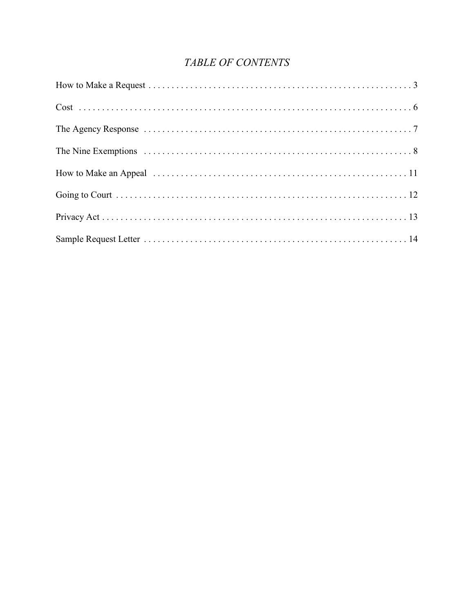## TABLE OF CONTENTS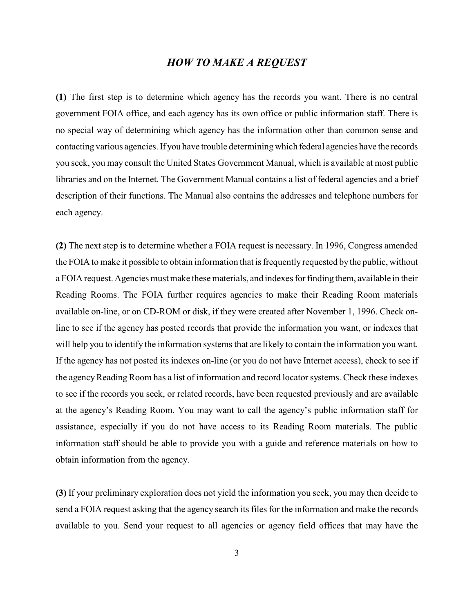## *HOW TO MAKE A REQUEST*

**(1)** The first step is to determine which agency has the records you want. There is no central government FOIA office, and each agency has its own office or public information staff. There is no special way of determining which agency has the information other than common sense and contacting various agencies. If you have trouble determining which federal agencies have the records you seek, you may consult the United States Government Manual, which is available at most public libraries and on the Internet. The Government Manual contains a list of federal agencies and a brief description of their functions. The Manual also contains the addresses and telephone numbers for each agency.

**(2)** The next step is to determine whether a FOIA request is necessary. In 1996, Congress amended the FOIA to make it possible to obtain information that is frequently requested by the public, without a FOIA request. Agencies must make thesematerials, and indexes for finding them, available in their Reading Rooms. The FOIA further requires agencies to make their Reading Room materials available on-line, or on CD-ROM or disk, if they were created after November 1, 1996. Check online to see if the agency has posted records that provide the information you want, or indexes that will help you to identify the information systems that are likely to contain the information you want. If the agency has not posted its indexes on-line (or you do not have Internet access), check to see if the agency Reading Room has a list of information and record locator systems. Check these indexes to see if the records you seek, or related records, have been requested previously and are available at the agency's Reading Room. You may want to call the agency's public information staff for assistance, especially if you do not have access to its Reading Room materials. The public information staff should be able to provide you with a guide and reference materials on how to obtain information from the agency.

**(3)** If your preliminary exploration does not yield the information you seek, you may then decide to send a FOIA request asking that the agency search its files for the information and make the records available to you. Send your request to all agencies or agency field offices that may have the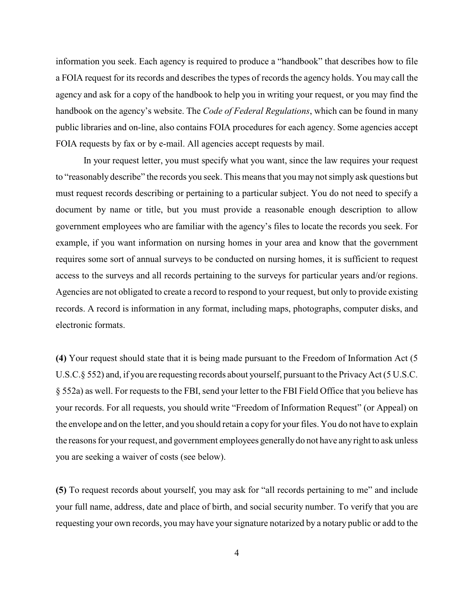information you seek. Each agency is required to produce a "handbook" that describes how to file a FOIA request for its records and describes the types of records the agency holds. You may call the agency and ask for a copy of the handbook to help you in writing your request, or you may find the handbook on the agency's website. The *Code of Federal Regulations*, which can be found in many public libraries and on-line, also contains FOIA procedures for each agency. Some agencies accept FOIA requests by fax or by e-mail. All agencies accept requests by mail.

In your request letter, you must specify what you want, since the law requires your request to "reasonably describe" the records you seek. This means that you may not simply ask questions but must request records describing or pertaining to a particular subject. You do not need to specify a document by name or title, but you must provide a reasonable enough description to allow government employees who are familiar with the agency's files to locate the records you seek. For example, if you want information on nursing homes in your area and know that the government requires some sort of annual surveys to be conducted on nursing homes, it is sufficient to request access to the surveys and all records pertaining to the surveys for particular years and/or regions. Agencies are not obligated to create a record to respond to your request, but only to provide existing records. A record is information in any format, including maps, photographs, computer disks, and electronic formats.

**(4)** Your request should state that it is being made pursuant to the Freedom of Information Act (5 U.S.C.§ 552) and, if you are requesting records about yourself, pursuant to the Privacy Act (5 U.S.C. § 552a) as well. For requests to the FBI, send your letter to the FBI Field Office that you believe has your records. For all requests, you should write "Freedom of Information Request" (or Appeal) on the envelope and on the letter, and you should retain a copy for your files. You do not have to explain the reasons for your request, and government employees generallydo not have any right to ask unless you are seeking a waiver of costs (see below).

**(5)** To request records about yourself, you may ask for "all records pertaining to me" and include your full name, address, date and place of birth, and social security number. To verify that you are requesting your own records, you may have your signature notarized by a notary public or add to the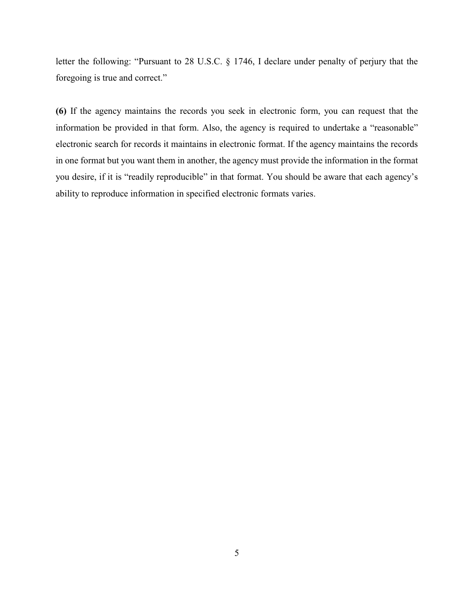letter the following: "Pursuant to 28 U.S.C. § 1746, I declare under penalty of perjury that the foregoing is true and correct."

**(6)** If the agency maintains the records you seek in electronic form, you can request that the information be provided in that form. Also, the agency is required to undertake a "reasonable" electronic search for records it maintains in electronic format. If the agency maintains the records in one format but you want them in another, the agency must provide the information in the format you desire, if it is "readily reproducible" in that format. You should be aware that each agency's ability to reproduce information in specified electronic formats varies.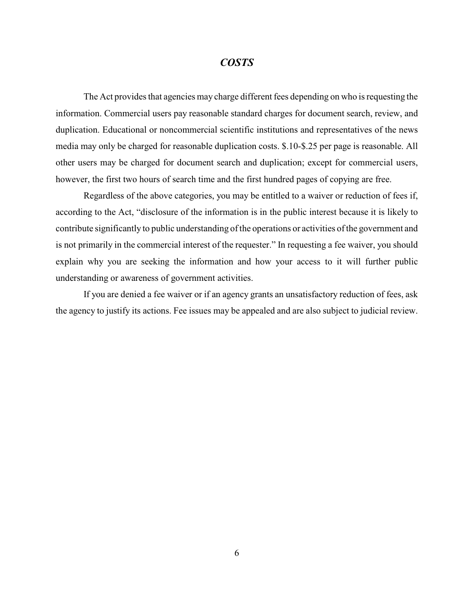## *COSTS*

The Act provides that agencies may charge different fees depending on who is requesting the information. Commercial users pay reasonable standard charges for document search, review, and duplication. Educational or noncommercial scientific institutions and representatives of the news media may only be charged for reasonable duplication costs. \$.10-\$.25 per page is reasonable. All other users may be charged for document search and duplication; except for commercial users, however, the first two hours of search time and the first hundred pages of copying are free.

Regardless of the above categories, you may be entitled to a waiver or reduction of fees if, according to the Act, "disclosure of the information is in the public interest because it is likely to contribute significantly to public understanding of the operations or activities of the government and is not primarily in the commercial interest of the requester." In requesting a fee waiver, you should explain why you are seeking the information and how your access to it will further public understanding or awareness of government activities.

If you are denied a fee waiver or if an agency grants an unsatisfactory reduction of fees, ask the agency to justify its actions. Fee issues may be appealed and are also subject to judicial review.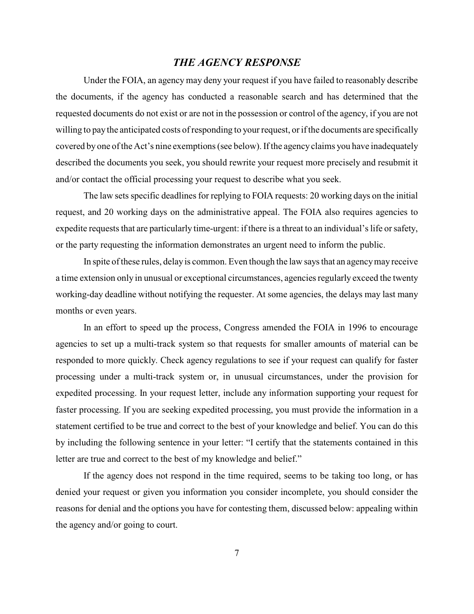## *THE AGENCY RESPONSE*

Under the FOIA, an agency may deny your request if you have failed to reasonably describe the documents, if the agency has conducted a reasonable search and has determined that the requested documents do not exist or are not in the possession or control of the agency, if you are not willing to pay the anticipated costs of responding to your request, or if the documents are specifically covered by one of the Act's nine exemptions (see below). If the agency claims you have inadequately described the documents you seek, you should rewrite your request more precisely and resubmit it and/or contact the official processing your request to describe what you seek.

The law sets specific deadlines for replying to FOIA requests: 20 working days on the initial request, and 20 working days on the administrative appeal. The FOIA also requires agencies to expedite requests that are particularly time-urgent: if there is a threat to an individual's life or safety, or the party requesting the information demonstrates an urgent need to inform the public.

In spite of these rules, delay is common. Even though the law says that an agency may receive a time extension only in unusual or exceptional circumstances, agencies regularly exceed the twenty working-day deadline without notifying the requester. At some agencies, the delays may last many months or even years.

In an effort to speed up the process, Congress amended the FOIA in 1996 to encourage agencies to set up a multi-track system so that requests for smaller amounts of material can be responded to more quickly. Check agency regulations to see if your request can qualify for faster processing under a multi-track system or, in unusual circumstances, under the provision for expedited processing. In your request letter, include any information supporting your request for faster processing. If you are seeking expedited processing, you must provide the information in a statement certified to be true and correct to the best of your knowledge and belief. You can do this by including the following sentence in your letter: "I certify that the statements contained in this letter are true and correct to the best of my knowledge and belief."

If the agency does not respond in the time required, seems to be taking too long, or has denied your request or given you information you consider incomplete, you should consider the reasons for denial and the options you have for contesting them, discussed below: appealing within the agency and/or going to court.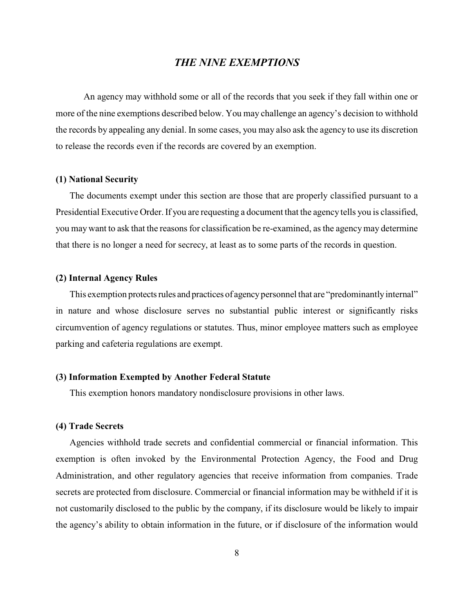## *THE NINE EXEMPTIONS*

An agency may withhold some or all of the records that you seek if they fall within one or more of the nine exemptions described below. You may challenge an agency's decision to withhold the records by appealing any denial. In some cases, you may also ask the agency to use its discretion to release the records even if the records are covered by an exemption.

#### **(1) National Security**

The documents exempt under this section are those that are properly classified pursuant to a Presidential Executive Order. If you are requesting a document that the agency tells you is classified, you may want to ask that the reasons for classification be re-examined, as the agency may determine that there is no longer a need for secrecy, at least as to some parts of the records in question.

#### **(2) Internal Agency Rules**

This exemption protects rules and practices of agency personnel that are "predominantly internal" in nature and whose disclosure serves no substantial public interest or significantly risks circumvention of agency regulations or statutes. Thus, minor employee matters such as employee parking and cafeteria regulations are exempt.

#### **(3) Information Exempted by Another Federal Statute**

This exemption honors mandatory nondisclosure provisions in other laws.

#### **(4) Trade Secrets**

Agencies withhold trade secrets and confidential commercial or financial information. This exemption is often invoked by the Environmental Protection Agency, the Food and Drug Administration, and other regulatory agencies that receive information from companies. Trade secrets are protected from disclosure. Commercial or financial information may be withheld if it is not customarily disclosed to the public by the company, if its disclosure would be likely to impair the agency's ability to obtain information in the future, or if disclosure of the information would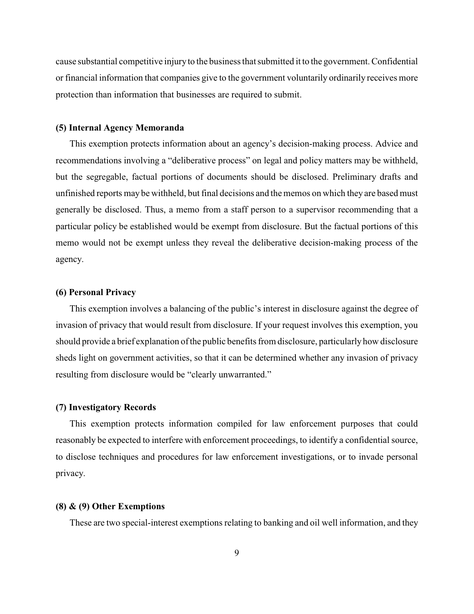cause substantial competitive injury to the business that submitted it to the government. Confidential or financial information that companies give to the government voluntarily ordinarily receives more protection than information that businesses are required to submit.

#### **(5) Internal Agency Memoranda**

This exemption protects information about an agency's decision-making process. Advice and recommendations involving a "deliberative process" on legal and policy matters may be withheld, but the segregable, factual portions of documents should be disclosed. Preliminary drafts and unfinished reports may be withheld, but final decisions and the memos on which they are based must generally be disclosed. Thus, a memo from a staff person to a supervisor recommending that a particular policy be established would be exempt from disclosure. But the factual portions of this memo would not be exempt unless they reveal the deliberative decision-making process of the agency.

#### **(6) Personal Privacy**

This exemption involves a balancing of the public's interest in disclosure against the degree of invasion of privacy that would result from disclosure. If your request involves this exemption, you should provide a brief explanation of the public benefits from disclosure, particularly how disclosure sheds light on government activities, so that it can be determined whether any invasion of privacy resulting from disclosure would be "clearly unwarranted."

#### **(7) Investigatory Records**

This exemption protects information compiled for law enforcement purposes that could reasonably be expected to interfere with enforcement proceedings, to identify a confidential source, to disclose techniques and procedures for law enforcement investigations, or to invade personal privacy.

#### **(8) & (9) Other Exemptions**

These are two special-interest exemptions relating to banking and oil well information, and they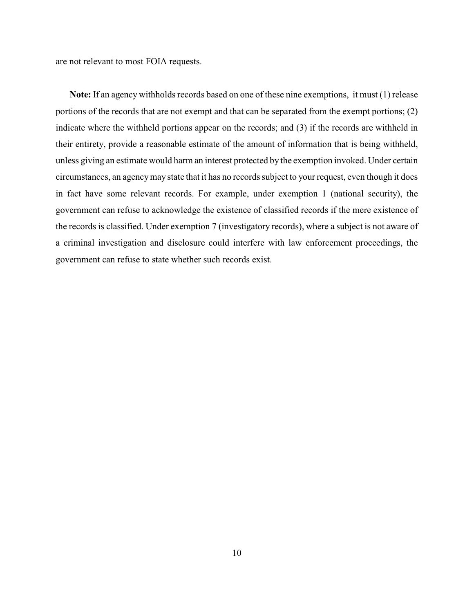are not relevant to most FOIA requests.

**Note:** If an agency withholds records based on one of these nine exemptions, it must (1) release portions of the records that are not exempt and that can be separated from the exempt portions; (2) indicate where the withheld portions appear on the records; and (3) if the records are withheld in their entirety, provide a reasonable estimate of the amount of information that is being withheld, unless giving an estimate would harm an interest protected by the exemption invoked. Under certain circumstances, an agency may state that it has no records subject to your request, even though it does in fact have some relevant records. For example, under exemption 1 (national security), the government can refuse to acknowledge the existence of classified records if the mere existence of the records is classified. Under exemption 7 (investigatory records), where a subject is not aware of a criminal investigation and disclosure could interfere with law enforcement proceedings, the government can refuse to state whether such records exist.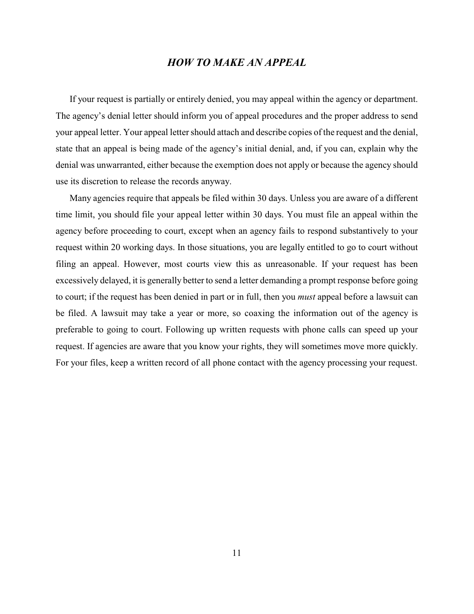## *HOW TO MAKE AN APPEAL*

If your request is partially or entirely denied, you may appeal within the agency or department. The agency's denial letter should inform you of appeal procedures and the proper address to send your appeal letter. Your appeal letter should attach and describe copies of the request and the denial, state that an appeal is being made of the agency's initial denial, and, if you can, explain why the denial was unwarranted, either because the exemption does not apply or because the agency should use its discretion to release the records anyway.

Many agencies require that appeals be filed within 30 days. Unless you are aware of a different time limit, you should file your appeal letter within 30 days. You must file an appeal within the agency before proceeding to court, except when an agency fails to respond substantively to your request within 20 working days. In those situations, you are legally entitled to go to court without filing an appeal. However, most courts view this as unreasonable. If your request has been excessively delayed, it is generally better to send a letter demanding a prompt response before going to court; if the request has been denied in part or in full, then you *must* appeal before a lawsuit can be filed. A lawsuit may take a year or more, so coaxing the information out of the agency is preferable to going to court. Following up written requests with phone calls can speed up your request. If agencies are aware that you know your rights, they will sometimes move more quickly. For your files, keep a written record of all phone contact with the agency processing your request.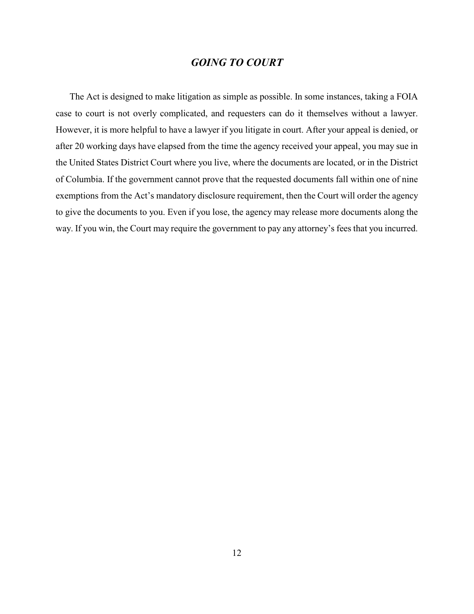## *GOING TO COURT*

The Act is designed to make litigation as simple as possible. In some instances, taking a FOIA case to court is not overly complicated, and requesters can do it themselves without a lawyer. However, it is more helpful to have a lawyer if you litigate in court. After your appeal is denied, or after 20 working days have elapsed from the time the agency received your appeal, you may sue in the United States District Court where you live, where the documents are located, or in the District of Columbia. If the government cannot prove that the requested documents fall within one of nine exemptions from the Act's mandatory disclosure requirement, then the Court will order the agency to give the documents to you. Even if you lose, the agency may release more documents along the way. If you win, the Court may require the government to pay any attorney's fees that you incurred.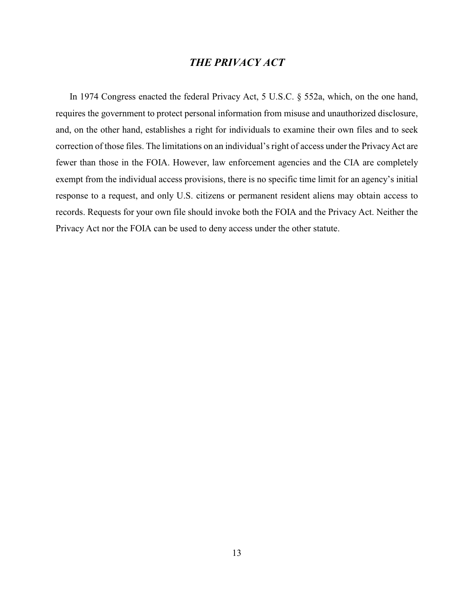## *THE PRIVACY ACT*

In 1974 Congress enacted the federal Privacy Act, 5 U.S.C. § 552a, which, on the one hand, requires the government to protect personal information from misuse and unauthorized disclosure, and, on the other hand, establishes a right for individuals to examine their own files and to seek correction of those files. The limitations on an individual's right of access under the Privacy Act are fewer than those in the FOIA. However, law enforcement agencies and the CIA are completely exempt from the individual access provisions, there is no specific time limit for an agency's initial response to a request, and only U.S. citizens or permanent resident aliens may obtain access to records. Requests for your own file should invoke both the FOIA and the Privacy Act. Neither the Privacy Act nor the FOIA can be used to deny access under the other statute.